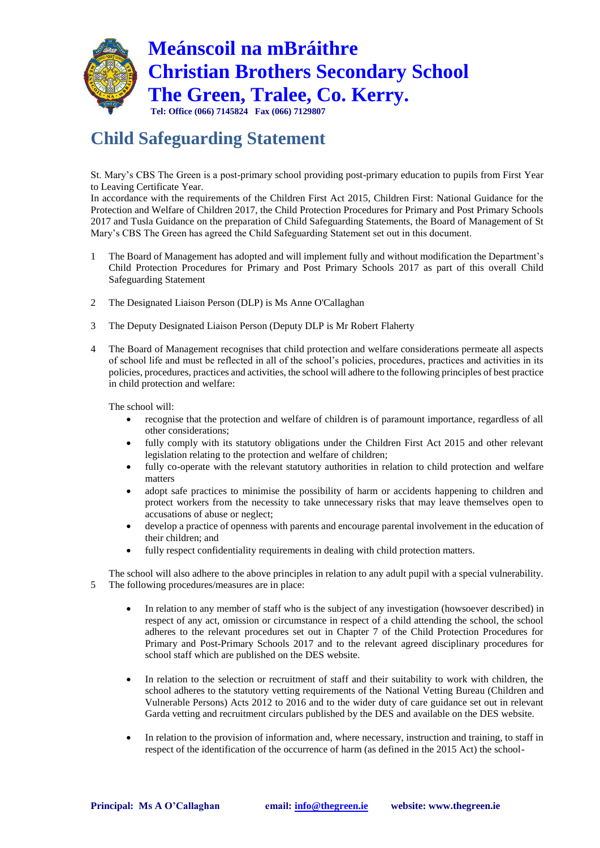

## **Child Safeguarding Statement**

St. Mary's CBS The Green is a post-primary school providing post-primary education to pupils from First Year to Leaving Certificate Year.

In accordance with the requirements of the Children First Act 2015, Children First: National Guidance for the Protection and Welfare of Children 2017, the Child Protection Procedures for Primary and Post Primary Schools 2017 and Tusla Guidance on the preparation of Child Safeguarding Statements, the Board of Management of St Mary's CBS The Green has agreed the Child Safeguarding Statement set out in this document.

- 1 The Board of Management has adopted and will implement fully and without modification the Department's Child Protection Procedures for Primary and Post Primary Schools 2017 as part of this overall Child Safeguarding Statement
- 2 The Designated Liaison Person (DLP) is Ms Anne O'Callaghan
- 3 The Deputy Designated Liaison Person (Deputy DLP is Mr Robert Flaherty
- 4 The Board of Management recognises that child protection and welfare considerations permeate all aspects of school life and must be reflected in all of the school's policies, procedures, practices and activities in its policies, procedures, practices and activities, the school will adhere to the following principles of best practice in child protection and welfare:

The school will:

- recognise that the protection and welfare of children is of paramount importance, regardless of all other considerations;
- fully comply with its statutory obligations under the Children First Act 2015 and other relevant legislation relating to the protection and welfare of children;
- fully co-operate with the relevant statutory authorities in relation to child protection and welfare matters
- adopt safe practices to minimise the possibility of harm or accidents happening to children and protect workers from the necessity to take unnecessary risks that may leave themselves open to accusations of abuse or neglect;
- develop a practice of openness with parents and encourage parental involvement in the education of their children; and
- fully respect confidentiality requirements in dealing with child protection matters.

The school will also adhere to the above principles in relation to any adult pupil with a special vulnerability. 5 The following procedures/measures are in place:

- In relation to any member of staff who is the subject of any investigation (howsoever described) in respect of any act, omission or circumstance in respect of a child attending the school, the school adheres to the relevant procedures set out in Chapter 7 of the Child Protection Procedures for Primary and Post-Primary Schools 2017 and to the relevant agreed disciplinary procedures for school staff which are published on the DES website.
- In relation to the selection or recruitment of staff and their suitability to work with children, the school adheres to the statutory vetting requirements of the National Vetting Bureau (Children and Vulnerable Persons) Acts 2012 to 2016 and to the wider duty of care guidance set out in relevant Garda vetting and recruitment circulars published by the DES and available on the DES website.
- In relation to the provision of information and, where necessary, instruction and training, to staff in respect of the identification of the occurrence of harm (as defined in the 2015 Act) the school-